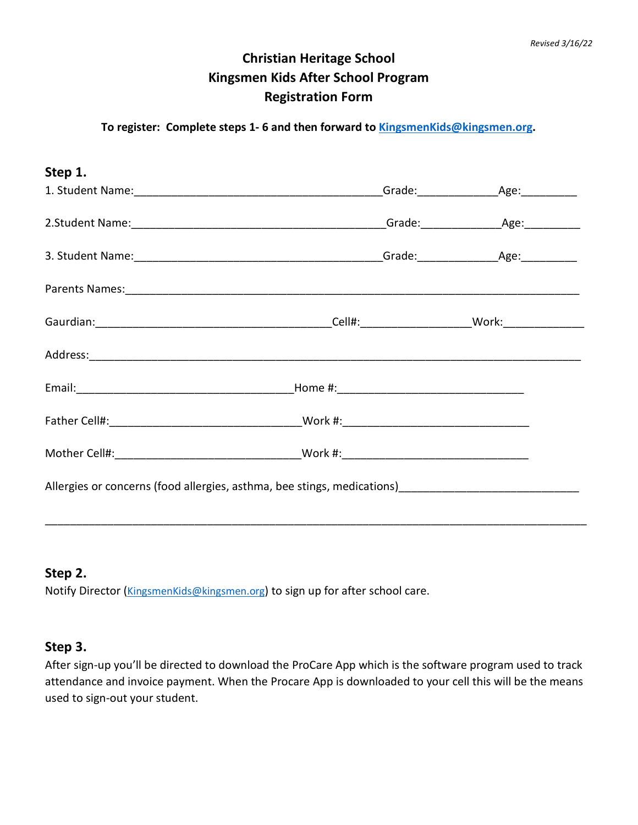## **Christian Heritage School Kingsmen Kids After School Program Registration Form**

#### **To register: Complete steps 1- 6 and then forward to [KingsmenKids@kingsmen.org.](mailto:KingsmenKids@kingsmen.org)**

| Step 1.                                                                                                                                                       |  |  |
|---------------------------------------------------------------------------------------------------------------------------------------------------------------|--|--|
|                                                                                                                                                               |  |  |
|                                                                                                                                                               |  |  |
|                                                                                                                                                               |  |  |
|                                                                                                                                                               |  |  |
|                                                                                                                                                               |  |  |
|                                                                                                                                                               |  |  |
|                                                                                                                                                               |  |  |
|                                                                                                                                                               |  |  |
|                                                                                                                                                               |  |  |
| Allergies or concerns (food allergies, asthma, bee stings, medications) [1996] [1996] Allergies or concerns (food allergies, asthma, bee stings, medications) |  |  |
|                                                                                                                                                               |  |  |

#### **Step 2.**

Notify Director [\(KingsmenKids@kingsmen.org\)](mailto:KingsmenKids@kingsmen.org) to sign up for after school care.

#### **Step 3.**

After sign-up you'll be directed to download the ProCare App which is the software program used to track attendance and invoice payment. When the Procare App is downloaded to your cell this will be the means used to sign-out your student.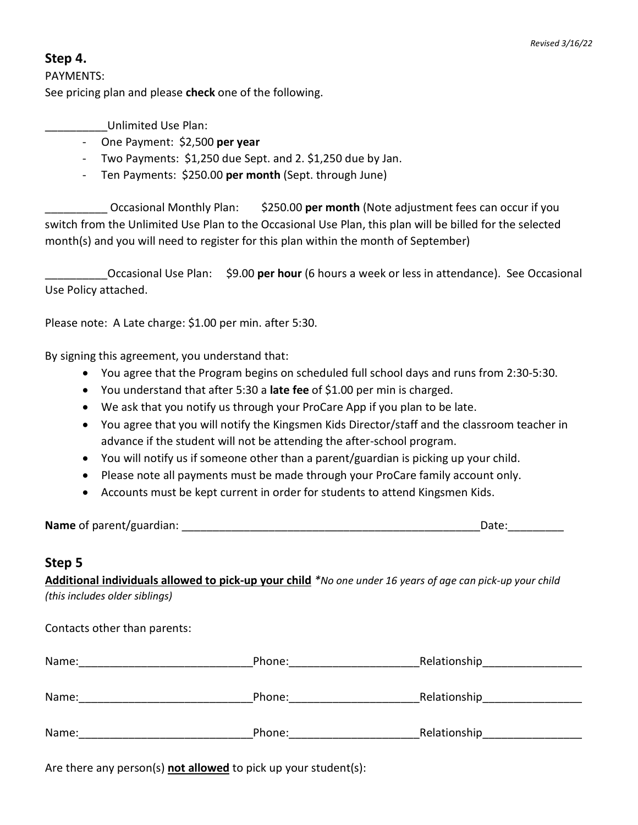#### **Step 4.**

PAYMENTS: See pricing plan and please **check** one of the following.

\_\_\_\_\_\_\_\_\_\_Unlimited Use Plan:

- One Payment: \$2,500 **per year**
- Two Payments: \$1,250 due Sept. and 2. \$1,250 due by Jan.
- Ten Payments: \$250.00 **per month** (Sept. through June)

\_\_\_\_\_\_\_\_\_\_ Occasional Monthly Plan: \$250.00 **per month** (Note adjustment fees can occur if you switch from the Unlimited Use Plan to the Occasional Use Plan, this plan will be billed for the selected month(s) and you will need to register for this plan within the month of September)

\_\_\_\_\_\_\_\_\_\_Occasional Use Plan: \$9.00 **per hour** (6 hours a week or less in attendance). See Occasional Use Policy attached.

Please note: A Late charge: \$1.00 per min. after 5:30.

By signing this agreement, you understand that:

- You agree that the Program begins on scheduled full school days and runs from 2:30-5:30.
- You understand that after 5:30 a **late fee** of \$1.00 per min is charged.
- We ask that you notify us through your ProCare App if you plan to be late.
- You agree that you will notify the Kingsmen Kids Director/staff and the classroom teacher in advance if the student will not be attending the after-school program.
- You will notify us if someone other than a parent/guardian is picking up your child.
- Please note all payments must be made through your ProCare family account only.
- Accounts must be kept current in order for students to attend Kingsmen Kids.

**Name** of parent/guardian: \_\_\_\_\_\_\_\_\_\_\_\_\_\_\_\_\_\_\_\_\_\_\_\_\_\_\_\_\_\_\_\_\_\_\_\_\_\_\_\_\_\_\_\_\_\_\_\_Date:\_\_\_\_\_\_\_\_\_

#### **Step 5**

**Additional individuals allowed to pick-up your child** *\*No one under 16 years of age can pick-up your child (this includes older siblings)* 

Contacts other than parents:

| Name: | Phone: | Relationship |
|-------|--------|--------------|
| Name: | Phone: | Relationship |
| Name: | Phone: | Relationship |

Are there any person(s) **not allowed** to pick up your student(s):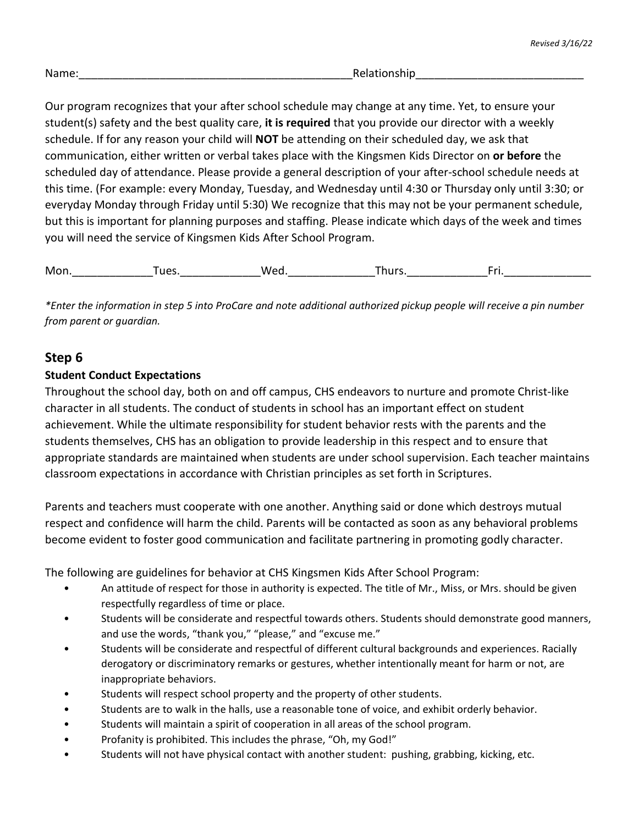| Name:<br>متمام<br><b>REIQUOISIIIL</b><br>. |
|--------------------------------------------|
|--------------------------------------------|

Our program recognizes that your after school schedule may change at any time. Yet, to ensure your student(s) safety and the best quality care, **it is required** that you provide our director with a weekly schedule. If for any reason your child will **NOT** be attending on their scheduled day, we ask that communication, either written or verbal takes place with the Kingsmen Kids Director on **or before** the scheduled day of attendance. Please provide a general description of your after-school schedule needs at this time. (For example: every Monday, Tuesday, and Wednesday until 4:30 or Thursday only until 3:30; or everyday Monday through Friday until 5:30) We recognize that this may not be your permanent schedule, but this is important for planning purposes and staffing. Please indicate which days of the week and times you will need the service of Kingsmen Kids After School Program.

Mon. Tues. Wed. Thurs. Fri.

*\*Enter the information in step 5 into ProCare and note additional authorized pickup people will receive a pin number from parent or guardian.*

#### **Step 6**

#### **Student Conduct Expectations**

Throughout the school day, both on and off campus, CHS endeavors to nurture and promote Christ-like character in all students. The conduct of students in school has an important effect on student achievement. While the ultimate responsibility for student behavior rests with the parents and the students themselves, CHS has an obligation to provide leadership in this respect and to ensure that appropriate standards are maintained when students are under school supervision. Each teacher maintains classroom expectations in accordance with Christian principles as set forth in Scriptures.

Parents and teachers must cooperate with one another. Anything said or done which destroys mutual respect and confidence will harm the child. Parents will be contacted as soon as any behavioral problems become evident to foster good communication and facilitate partnering in promoting godly character.

The following are guidelines for behavior at CHS Kingsmen Kids After School Program:

- An attitude of respect for those in authority is expected. The title of Mr., Miss, or Mrs. should be given respectfully regardless of time or place.
- Students will be considerate and respectful towards others. Students should demonstrate good manners, and use the words, "thank you," "please," and "excuse me."
- Students will be considerate and respectful of different cultural backgrounds and experiences. Racially derogatory or discriminatory remarks or gestures, whether intentionally meant for harm or not, are inappropriate behaviors.
- Students will respect school property and the property of other students.
- Students are to walk in the halls, use a reasonable tone of voice, and exhibit orderly behavior.
- Students will maintain a spirit of cooperation in all areas of the school program.
- Profanity is prohibited. This includes the phrase, "Oh, my God!"
- Students will not have physical contact with another student: pushing, grabbing, kicking, etc.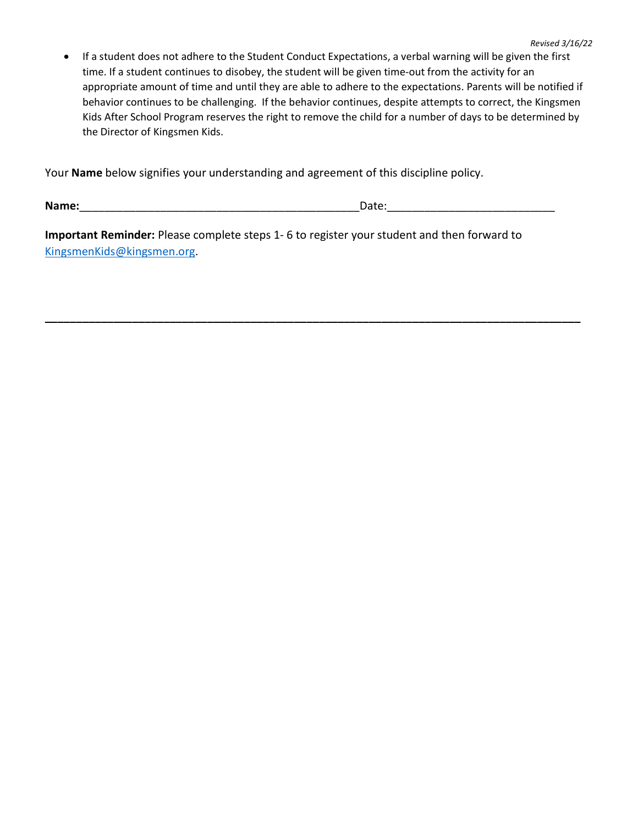• If a student does not adhere to the Student Conduct Expectations, a verbal warning will be given the first time. If a student continues to disobey, the student will be given time-out from the activity for an appropriate amount of time and until they are able to adhere to the expectations. Parents will be notified if behavior continues to be challenging. If the behavior continues, despite attempts to correct, the Kingsmen Kids After School Program reserves the right to remove the child for a number of days to be determined by the Director of Kingsmen Kids.

Your **Name** below signifies your understanding and agreement of this discipline policy.

**Name:**\_\_\_\_\_\_\_\_\_\_\_\_\_\_\_\_\_\_\_\_\_\_\_\_\_\_\_\_\_\_\_\_\_\_\_\_\_\_\_\_\_\_\_\_\_Date:\_\_\_\_\_\_\_\_\_\_\_\_\_\_\_\_\_\_\_\_\_\_\_\_\_\_\_

**Important Reminder:** Please complete steps 1- 6 to register your student and then forward to [KingsmenKids@kingsmen.org.](mailto:KingsmenKids@kingsmen.org)

**\_\_\_\_\_\_\_\_\_\_\_\_\_\_\_\_\_\_\_\_\_\_\_\_\_\_\_\_\_\_\_\_\_\_\_\_\_\_\_\_\_\_\_\_\_\_\_\_\_\_\_\_\_\_\_\_\_\_\_\_\_\_\_\_\_\_\_\_\_\_\_\_\_\_\_\_\_\_\_\_\_\_\_\_\_\_**